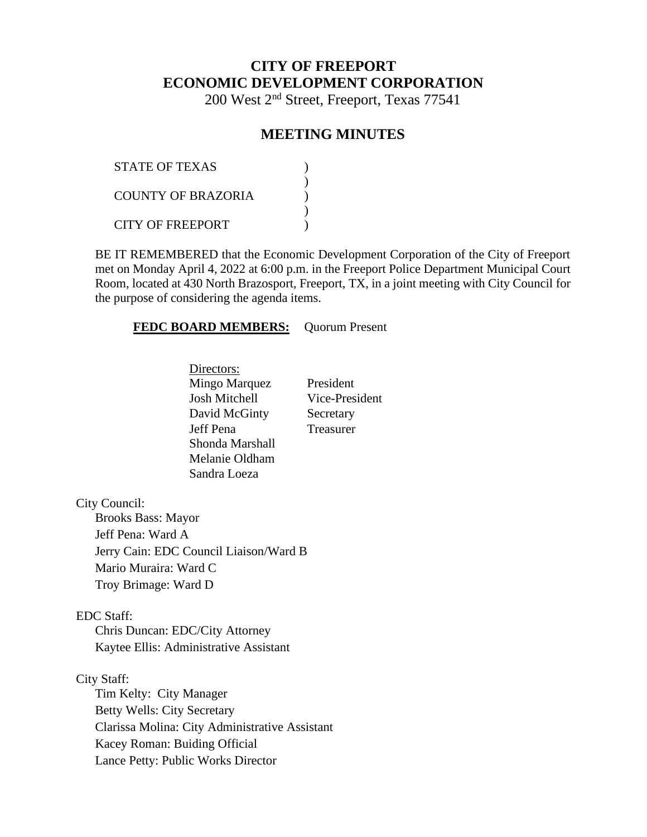# **CITY OF FREEPORT ECONOMIC DEVELOPMENT CORPORATION**

200 West 2nd Street, Freeport, Texas 77541

# **MEETING MINUTES**

| STATE OF TEXAS     |  |
|--------------------|--|
| COUNTY OF BRAZORIA |  |
| CITY OF FREEPORT   |  |

BE IT REMEMBERED that the Economic Development Corporation of the City of Freeport met on Monday April 4, 2022 at 6:00 p.m. in the Freeport Police Department Municipal Court Room, located at 430 North Brazosport, Freeport, TX, in a joint meeting with City Council for the purpose of considering the agenda items.

#### **FEDC BOARD MEMBERS:** Quorum Present

Directors: Mingo Marquez President Josh Mitchell Vice-President David McGinty Secretary Jeff Pena Treasurer Shonda Marshall Melanie Oldham Sandra Loeza

City Council:

Brooks Bass: Mayor Jeff Pena: Ward A Jerry Cain: EDC Council Liaison/Ward B Mario Muraira: Ward C Troy Brimage: Ward D

### EDC Staff:

Chris Duncan: EDC/City Attorney Kaytee Ellis: Administrative Assistant

#### City Staff:

Tim Kelty: City Manager Betty Wells: City Secretary Clarissa Molina: City Administrative Assistant Kacey Roman: Buiding Official Lance Petty: Public Works Director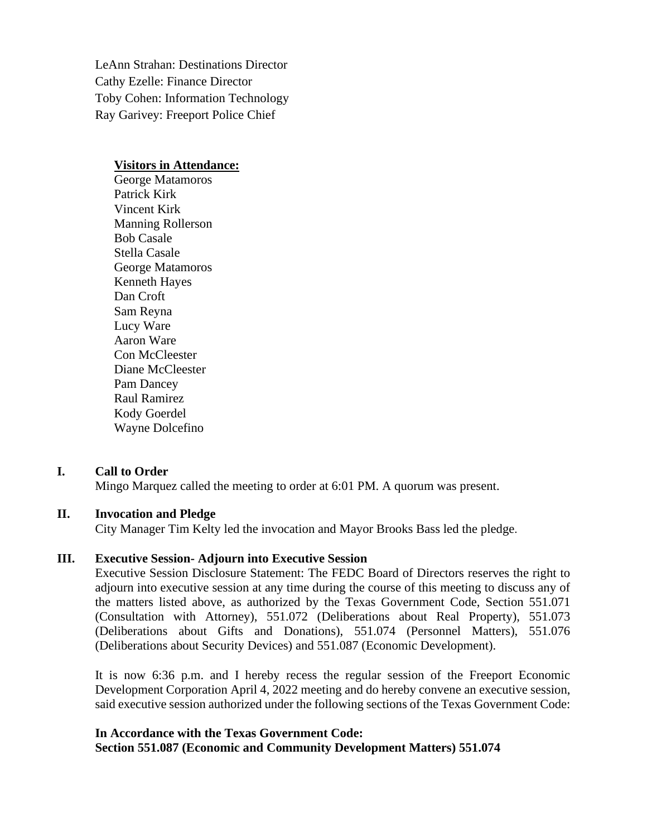LeAnn Strahan: Destinations Director Cathy Ezelle: Finance Director Toby Cohen: Information Technology Ray Garivey: Freeport Police Chief

#### **Visitors in Attendance:**

George Matamoros Patrick Kirk Vincent Kirk Manning Rollerson Bob Casale Stella Casale George Matamoros Kenneth Hayes Dan Croft Sam Reyna Lucy Ware Aaron Ware Con McCleester Diane McCleester Pam Dancey Raul Ramirez Kody Goerdel Wayne Dolcefino

### **I. Call to Order**

Mingo Marquez called the meeting to order at 6:01 PM. A quorum was present.

### **II. Invocation and Pledge**

City Manager Tim Kelty led the invocation and Mayor Brooks Bass led the pledge.

#### **III. Executive Session- Adjourn into Executive Session**

Executive Session Disclosure Statement: The FEDC Board of Directors reserves the right to adjourn into executive session at any time during the course of this meeting to discuss any of the matters listed above, as authorized by the Texas Government Code, Section 551.071 (Consultation with Attorney), 551.072 (Deliberations about Real Property), 551.073 (Deliberations about Gifts and Donations), 551.074 (Personnel Matters), 551.076 (Deliberations about Security Devices) and 551.087 (Economic Development).

It is now 6:36 p.m. and I hereby recess the regular session of the Freeport Economic Development Corporation April 4, 2022 meeting and do hereby convene an executive session, said executive session authorized under the following sections of the Texas Government Code:

#### **In Accordance with the Texas Government Code: Section 551.087 (Economic and Community Development Matters) 551.074**